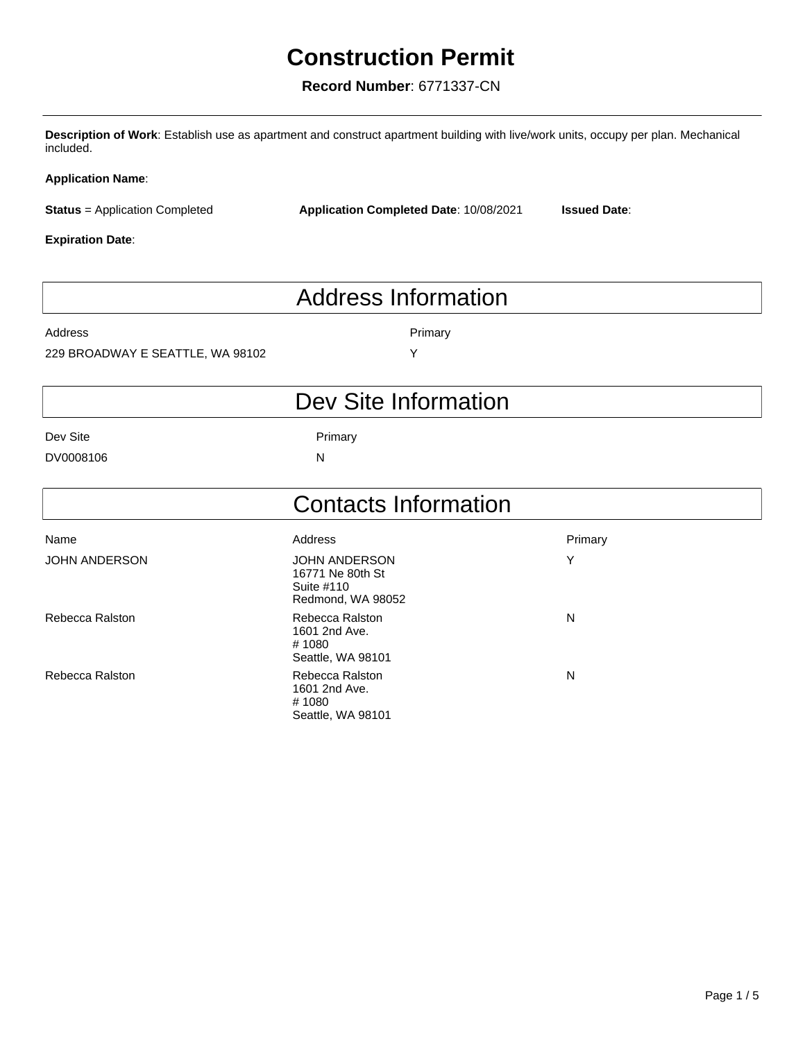## **Construction Permit**

## **Record Number**: 6771337-CN

**Description of Work**: Establish use as apartment and construct apartment building with live/work units, occupy per plan. Mechanical included.

#### **Application Name**:

**Status** = Application Completed

**Application Completed Date**: 10/08/2021 **Issued Date**:

#### **Expiration Date**:

# Address Information

Address **Primary** 

#### 229 BROADWAY E SEATTLE, WA 98102 Y

## Dev Site Information

Dev Site **Primary** 

DV0008106 N

|                      | <b>Contacts Information</b>                                                 |         |  |  |
|----------------------|-----------------------------------------------------------------------------|---------|--|--|
| Name                 | Address                                                                     | Primary |  |  |
| <b>JOHN ANDERSON</b> | <b>JOHN ANDERSON</b><br>16771 Ne 80th St<br>Suite #110<br>Redmond, WA 98052 | Y       |  |  |
| Rebecca Ralston      | Rebecca Ralston<br>1601 2nd Ave.<br># 1080<br>Seattle, WA 98101             | N       |  |  |
| Rebecca Ralston      | Rebecca Ralston<br>1601 2nd Ave.<br># 1080<br>Seattle, WA 98101             | N       |  |  |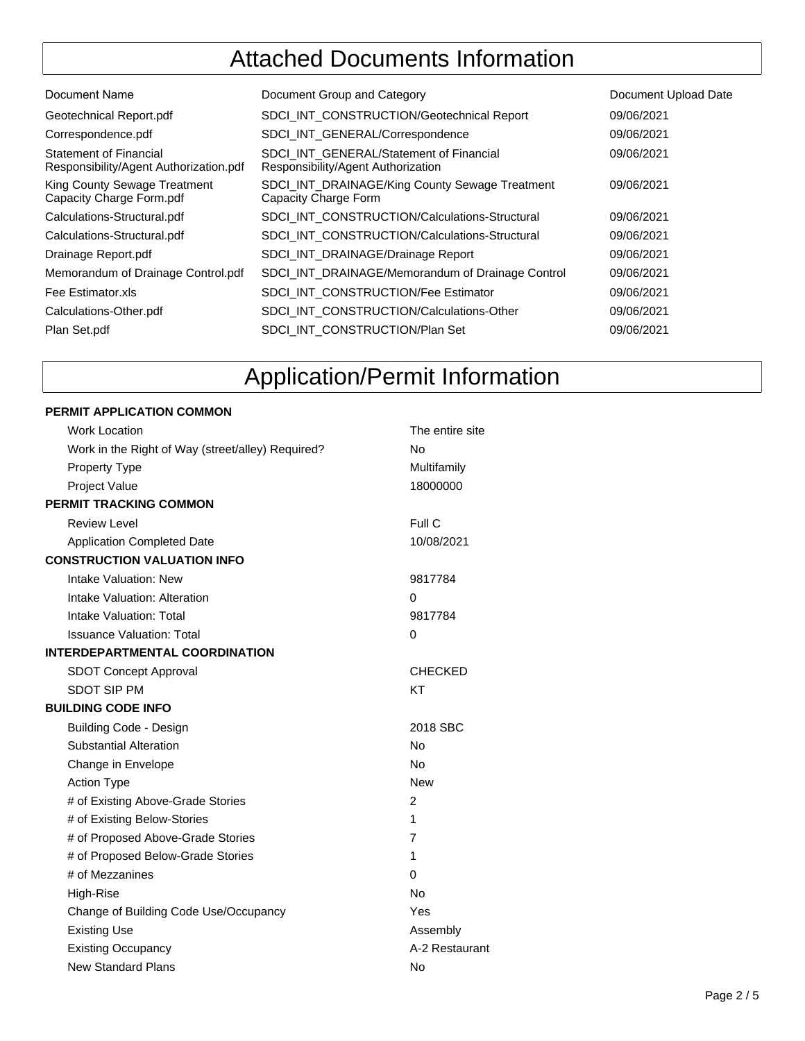## Attached Documents Information

| Document Name                                                           | Document Group and Category                                                   | Document Upload Date |
|-------------------------------------------------------------------------|-------------------------------------------------------------------------------|----------------------|
| Geotechnical Report.pdf                                                 | <b>SDCI INT CONSTRUCTION/Geotechnical Report</b>                              | 09/06/2021           |
| Correspondence.pdf                                                      | SDCI INT GENERAL/Correspondence                                               | 09/06/2021           |
| <b>Statement of Financial</b><br>Responsibility/Agent Authorization.pdf | SDCI INT GENERAL/Statement of Financial<br>Responsibility/Agent Authorization | 09/06/2021           |
| King County Sewage Treatment<br>Capacity Charge Form.pdf                | SDCI_INT_DRAINAGE/King County Sewage Treatment<br>Capacity Charge Form        | 09/06/2021           |
| Calculations-Structural.pdf                                             | <b>SDCI INT CONSTRUCTION/Calculations-Structural</b>                          | 09/06/2021           |
| Calculations-Structural.pdf                                             | SDCI INT CONSTRUCTION/Calculations-Structural                                 | 09/06/2021           |
| Drainage Report.pdf                                                     | SDCI INT DRAINAGE/Drainage Report                                             | 09/06/2021           |
| Memorandum of Drainage Control.pdf                                      | SDCI INT DRAINAGE/Memorandum of Drainage Control                              | 09/06/2021           |
| Fee Estimator.xls                                                       | <b>SDCI INT CONSTRUCTION/Fee Estimator</b>                                    | 09/06/2021           |
| Calculations-Other.pdf                                                  | SDCI INT CONSTRUCTION/Calculations-Other                                      | 09/06/2021           |
| Plan Set.pdf                                                            | SDCI INT CONSTRUCTION/Plan Set                                                | 09/06/2021           |
|                                                                         |                                                                               |                      |

# Application/Permit Information

#### **PERMIT APPLICATION COMMON**

| <b>Work Location</b>                              | The entire site |
|---------------------------------------------------|-----------------|
| Work in the Right of Way (street/alley) Required? | N٥              |
| <b>Property Type</b>                              | Multifamily     |
| Project Value                                     | 18000000        |
| PERMIT TRACKING COMMON                            |                 |
| <b>Review Level</b>                               | Full C          |
| <b>Application Completed Date</b>                 | 10/08/2021      |
| <b>CONSTRUCTION VALUATION INFO</b>                |                 |
| Intake Valuation: New                             | 9817784         |
| Intake Valuation: Alteration                      | $\Omega$        |
| Intake Valuation: Total                           | 9817784         |
| <b>Issuance Valuation: Total</b>                  | 0               |
| <b>INTERDEPARTMENTAL COORDINATION</b>             |                 |
| <b>SDOT Concept Approval</b>                      | <b>CHECKED</b>  |
| <b>SDOT SIP PM</b>                                | KT              |
| <b>BUILDING CODE INFO</b>                         |                 |
| <b>Building Code - Design</b>                     | 2018 SBC        |
| <b>Substantial Alteration</b>                     | <b>No</b>       |
| Change in Envelope                                | <b>No</b>       |
| <b>Action Type</b>                                | <b>New</b>      |
| # of Existing Above-Grade Stories                 | 2               |
| # of Existing Below-Stories                       | 1               |
| # of Proposed Above-Grade Stories                 | $\overline{7}$  |
| # of Proposed Below-Grade Stories                 | 1               |
| # of Mezzanines                                   | 0               |
| High-Rise                                         | <b>No</b>       |
| Change of Building Code Use/Occupancy             | Yes             |
| <b>Existing Use</b>                               | Assembly        |
| <b>Existing Occupancy</b>                         | A-2 Restaurant  |
| <b>New Standard Plans</b>                         | <b>No</b>       |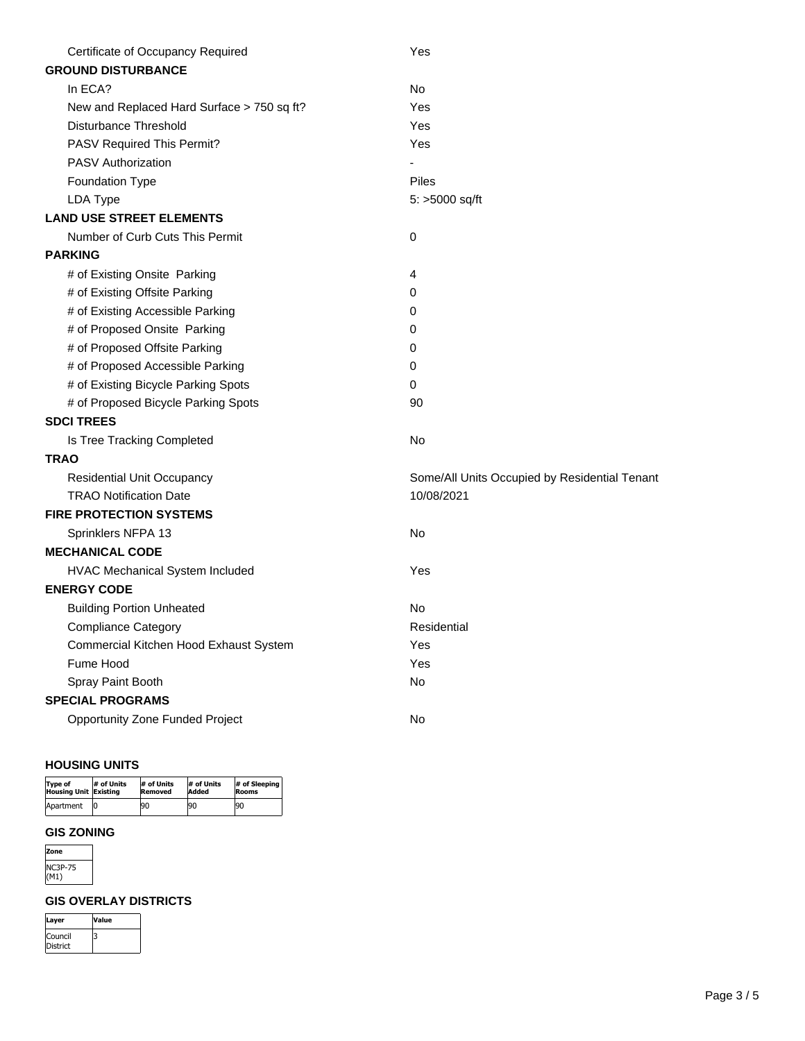| Certificate of Occupancy Required          | Yes                                           |
|--------------------------------------------|-----------------------------------------------|
| <b>GROUND DISTURBANCE</b>                  |                                               |
| In ECA?                                    | No                                            |
| New and Replaced Hard Surface > 750 sq ft? | Yes                                           |
| Disturbance Threshold                      | Yes                                           |
| PASV Required This Permit?                 | Yes                                           |
| <b>PASV Authorization</b>                  |                                               |
| <b>Foundation Type</b>                     | Piles                                         |
| LDA Type                                   | 5: >5000 sq/ft                                |
| <b>LAND USE STREET ELEMENTS</b>            |                                               |
| Number of Curb Cuts This Permit            | $\mathbf 0$                                   |
| <b>PARKING</b>                             |                                               |
| # of Existing Onsite Parking               | 4                                             |
| # of Existing Offsite Parking              | 0                                             |
| # of Existing Accessible Parking           | 0                                             |
| # of Proposed Onsite Parking               | 0                                             |
| # of Proposed Offsite Parking              | 0                                             |
| # of Proposed Accessible Parking           | 0                                             |
| # of Existing Bicycle Parking Spots        | 0                                             |
| # of Proposed Bicycle Parking Spots        | 90                                            |
| <b>SDCI TREES</b>                          |                                               |
| Is Tree Tracking Completed                 | No                                            |
| <b>TRAO</b>                                |                                               |
| <b>Residential Unit Occupancy</b>          | Some/All Units Occupied by Residential Tenant |
| <b>TRAO Notification Date</b>              | 10/08/2021                                    |
| <b>FIRE PROTECTION SYSTEMS</b>             |                                               |
| Sprinklers NFPA 13                         | <b>No</b>                                     |
| <b>MECHANICAL CODE</b>                     |                                               |
| HVAC Mechanical System Included            | Yes                                           |
| <b>ENERGY CODE</b>                         |                                               |
| <b>Building Portion Unheated</b>           | No                                            |
| <b>Compliance Category</b>                 | Residential                                   |
| Commercial Kitchen Hood Exhaust System     | Yes                                           |
| Fume Hood                                  | Yes                                           |
| Spray Paint Booth                          | No                                            |
| <b>SPECIAL PROGRAMS</b>                    |                                               |
| <b>Opportunity Zone Funded Project</b>     | No                                            |

#### **HOUSING UNITS**

| Type of               | # of Units | # of Units     | # of Units | # of Sleeping |
|-----------------------|------------|----------------|------------|---------------|
| Housing Unit Existing |            | <b>Removed</b> | Added      | Rooms         |
| Apartment             |            | 190            | 190        | 190           |

#### **GIS ZONING**

| Cone |
|------|
| 5    |
| 1)   |

#### **GIS OVERLAY DISTRICTS**

| Layer    | <b>Value</b> |
|----------|--------------|
| Council  |              |
| District |              |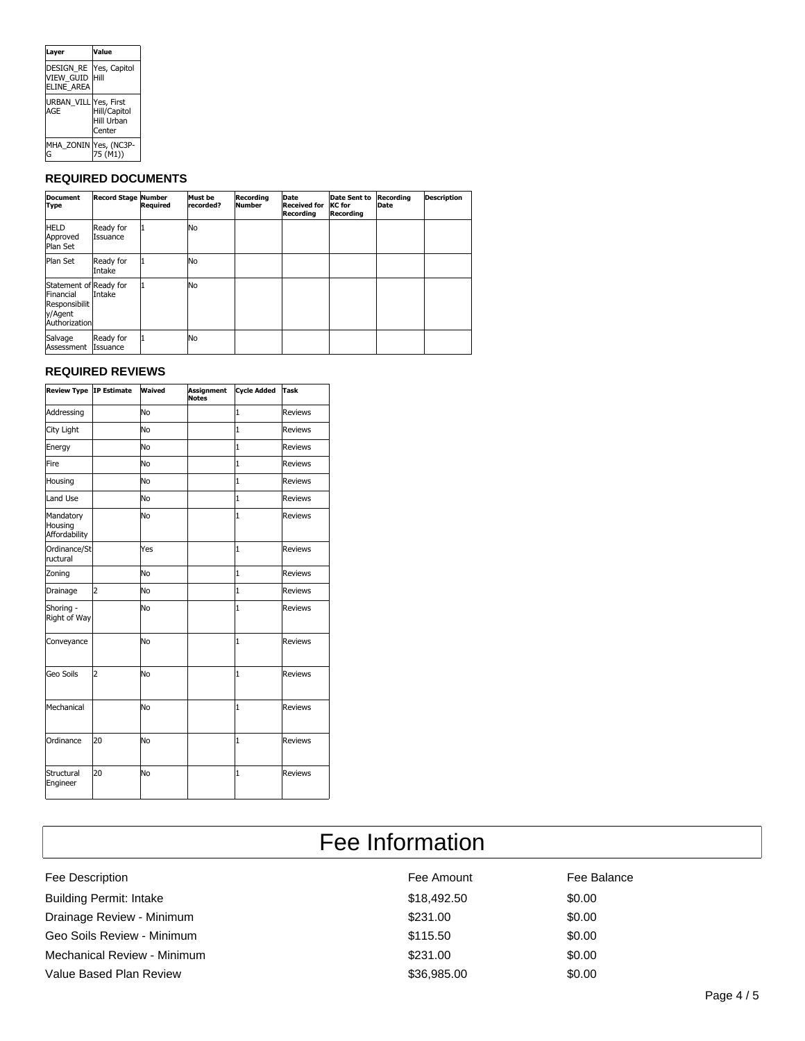| Layer                                              | Value                                |
|----------------------------------------------------|--------------------------------------|
| <b>DESIGN RE</b><br><b>VIEW GUID</b><br>ELINE AREA | Yes, Capitol<br>Hill                 |
| <b>URBAN VILL Yes, First</b><br>AGE                | Hill/Capitol<br>Hill Urban<br>Center |
| MHA_ZONIN Yes, (NC3P-<br>G                         | 75 (M1))                             |

### **REQUIRED DOCUMENTS**

| <b>Document</b><br>Type                                                          | <b>Record Stage Number</b> | Required | Must be<br>lrecorded? | Recordina<br>Number | Date<br><b>Received for</b><br>Recording | Date Sent to<br><b>KC</b> for<br>Recording | Recording<br>Date | <b>Description</b> |
|----------------------------------------------------------------------------------|----------------------------|----------|-----------------------|---------------------|------------------------------------------|--------------------------------------------|-------------------|--------------------|
| <b>HELD</b><br>Approved<br>Plan Set                                              | Ready for<br>lIssuance     |          | lNo                   |                     |                                          |                                            |                   |                    |
| Plan Set                                                                         | Ready for<br>Intake        |          | No                    |                     |                                          |                                            |                   |                    |
| Statement of Ready for<br>Financial<br>Responsibilit<br>y/Agent<br>Authorization | Intake                     |          | No                    |                     |                                          |                                            |                   |                    |
| Salvage<br>Assessment                                                            | Ready for<br>Issuance      |          | lNo                   |                     |                                          |                                            |                   |                    |

## **REQUIRED REVIEWS**

|                                       | Review Type IP Estimate | Waived         | <b>Assignment</b><br><b>Notes</b> | <b>Cycle Added</b> | <b>Task</b>    |
|---------------------------------------|-------------------------|----------------|-----------------------------------|--------------------|----------------|
| Addressing                            |                         | <b>No</b>      |                                   | $\mathbf{1}$       | <b>Reviews</b> |
| City Light                            |                         | N <sub>O</sub> |                                   | $\mathbf{1}$       | <b>Reviews</b> |
| Energy                                |                         | <b>No</b>      |                                   | $\mathbf{1}$       | <b>Reviews</b> |
| <b>Fire</b>                           |                         | No             |                                   | $\overline{1}$     | <b>Reviews</b> |
| Housing                               |                         | <b>No</b>      |                                   | $\overline{1}$     | <b>Reviews</b> |
| Land Use                              |                         | No             |                                   | $\mathbf{1}$       | <b>Reviews</b> |
| Mandatory<br>Housing<br>Affordability |                         | <b>No</b>      |                                   | $\mathbf{1}$       | <b>Reviews</b> |
| Ordinance/St<br>ructural              |                         | Yes            |                                   | $\overline{1}$     | <b>Reviews</b> |
| Zoning                                |                         | <b>No</b>      |                                   | $\mathbf{1}$       | <b>Reviews</b> |
| Drainage                              | $\overline{2}$          | <b>No</b>      |                                   | $\mathbf{1}$       | <b>Reviews</b> |
| Shoring -<br>Right of Way             |                         | <b>No</b>      |                                   | $\overline{1}$     | <b>Reviews</b> |
| Conveyance                            |                         | <b>No</b>      |                                   | 1                  | <b>Reviews</b> |
| Geo Soils                             | $\overline{2}$          | <b>No</b>      |                                   | $\mathbf{1}$       | <b>Reviews</b> |
| Mechanical                            |                         | <b>No</b>      |                                   | $\mathbf{1}$       | <b>Reviews</b> |
| Ordinance                             | 20                      | <b>No</b>      |                                   | $\mathbf{1}$       | <b>Reviews</b> |
| Structural<br>Engineer                | 20                      | <b>No</b>      |                                   | $\overline{1}$     | <b>Reviews</b> |

| Fee Information                |             |             |  |  |
|--------------------------------|-------------|-------------|--|--|
| Fee Description                | Fee Amount  | Fee Balance |  |  |
| <b>Building Permit: Intake</b> | \$18,492.50 | \$0.00      |  |  |
| Drainage Review - Minimum      | \$231.00    | \$0.00      |  |  |
| Geo Soils Review - Minimum     | \$115.50    | \$0.00      |  |  |
| Mechanical Review - Minimum    | \$231.00    | \$0.00      |  |  |
| Value Based Plan Review        | \$36,985.00 | \$0.00      |  |  |